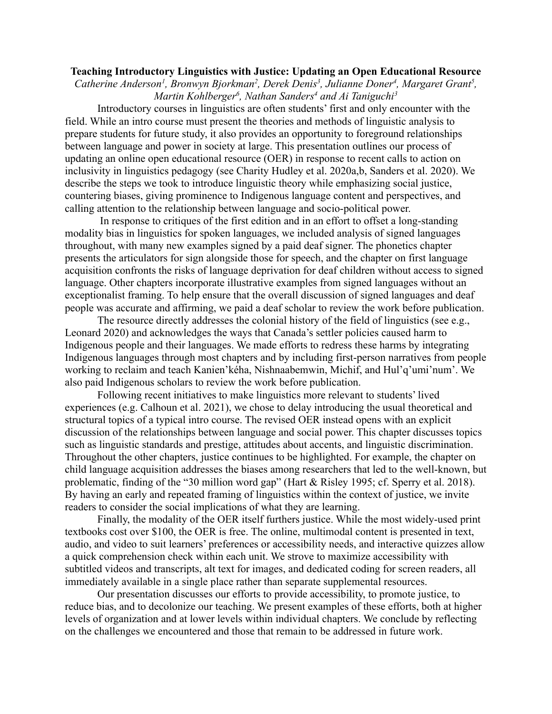## **Teaching Introductory Linguistics with Justice: Updating an Open Educational Resource**

*Catherine Anderson<sup>1</sup>, Bronwyn Bjorkman<sup>2</sup>, Derek Denis<sup>3</sup>, Julianne Doner<sup>4</sup>, Margaret Grant<sup>5</sup>, Martin Kohlberger<sup>6</sup> , Nathan Sanders<sup>4</sup> and Ai Taniguchi<sup>3</sup>*

Introductory courses in linguistics are often students' first and only encounter with the field. While an intro course must present the theories and methods of linguistic analysis to prepare students for future study, it also provides an opportunity to foreground relationships between language and power in society at large. This presentation outlines our process of updating an online open educational resource (OER) in response to recent calls to action on inclusivity in linguistics pedagogy (see Charity Hudley et al. 2020a,b, Sanders et al. 2020). We describe the steps we took to introduce linguistic theory while emphasizing social justice, countering biases, giving prominence to Indigenous language content and perspectives, and calling attention to the relationship between language and socio-political power.

In response to critiques of the first edition and in an effort to offset a long-standing modality bias in linguistics for spoken languages, we included analysis of signed languages throughout, with many new examples signed by a paid deaf signer. The phonetics chapter presents the articulators for sign alongside those for speech, and the chapter on first language acquisition confronts the risks of language deprivation for deaf children without access to signed language. Other chapters incorporate illustrative examples from signed languages without an exceptionalist framing. To help ensure that the overall discussion of signed languages and deaf people was accurate and affirming, we paid a deaf scholar to review the work before publication.

The resource directly addresses the colonial history of the field of linguistics (see e.g., Leonard 2020) and acknowledges the ways that Canada's settler policies caused harm to Indigenous people and their languages. We made efforts to redress these harms by integrating Indigenous languages through most chapters and by including first-person narratives from people working to reclaim and teach Kanien'kéha, Nishnaabemwin, Michif, and Hul'q'umi'num'. We also paid Indigenous scholars to review the work before publication.

Following recent initiatives to make linguistics more relevant to students' lived experiences (e.g. Calhoun et al. 2021), we chose to delay introducing the usual theoretical and structural topics of a typical intro course. The revised OER instead opens with an explicit discussion of the relationships between language and social power. This chapter discusses topics such as linguistic standards and prestige, attitudes about accents, and linguistic discrimination. Throughout the other chapters, justice continues to be highlighted. For example, the chapter on child language acquisition addresses the biases among researchers that led to the well-known, but problematic, finding of the "30 million word gap" (Hart & Risley 1995; cf. Sperry et al. 2018). By having an early and repeated framing of linguistics within the context of justice, we invite readers to consider the social implications of what they are learning.

Finally, the modality of the OER itself furthers justice. While the most widely-used print textbooks cost over \$100, the OER is free. The online, multimodal content is presented in text, audio, and video to suit learners' preferences or accessibility needs, and interactive quizzes allow a quick comprehension check within each unit. We strove to maximize accessibility with subtitled videos and transcripts, alt text for images, and dedicated coding for screen readers, all immediately available in a single place rather than separate supplemental resources.

Our presentation discusses our efforts to provide accessibility, to promote justice, to reduce bias, and to decolonize our teaching. We present examples of these efforts, both at higher levels of organization and at lower levels within individual chapters. We conclude by reflecting on the challenges we encountered and those that remain to be addressed in future work.